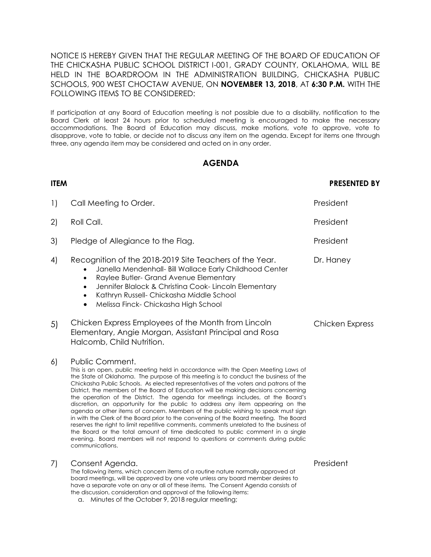NOTICE IS HEREBY GIVEN THAT THE REGULAR MEETING OF THE BOARD OF EDUCATION OF THE CHICKASHA PUBLIC SCHOOL DISTRICT I-001, GRADY COUNTY, OKLAHOMA, WILL BE HELD IN THE BOARDROOM IN THE ADMINISTRATION BUILDING, CHICKASHA PUBLIC SCHOOLS, 900 WEST CHOCTAW AVENUE, ON **NOVEMBER 13, 2018**, AT **6:30 P.M.** WITH THE FOLLOWING ITEMS TO BE CONSIDERED:

If participation at any Board of Education meeting is not possible due to a disability, notification to the Board Clerk at least 24 hours prior to scheduled meeting is encouraged to make the necessary accommodations. The Board of Education may discuss, make motions, vote to approve, vote to disapprove, vote to table, or decide not to discuss any item on the agenda. Except for items one through three, any agenda item may be considered and acted on in any order.

## **AGENDA**

| <b>ITEM</b> |                                                                                                                                                                                                                                                                                                                                                                                                                                                                                                                                                                                                                                                                                                                                                                                                                                                                                                                                                                                                                 | <b>PRESENTED BY</b>    |
|-------------|-----------------------------------------------------------------------------------------------------------------------------------------------------------------------------------------------------------------------------------------------------------------------------------------------------------------------------------------------------------------------------------------------------------------------------------------------------------------------------------------------------------------------------------------------------------------------------------------------------------------------------------------------------------------------------------------------------------------------------------------------------------------------------------------------------------------------------------------------------------------------------------------------------------------------------------------------------------------------------------------------------------------|------------------------|
| 1)          | Call Meeting to Order.                                                                                                                                                                                                                                                                                                                                                                                                                                                                                                                                                                                                                                                                                                                                                                                                                                                                                                                                                                                          | President              |
| 2)          | Roll Call.                                                                                                                                                                                                                                                                                                                                                                                                                                                                                                                                                                                                                                                                                                                                                                                                                                                                                                                                                                                                      | President              |
| 3)          | Pledge of Allegiance to the Flag.                                                                                                                                                                                                                                                                                                                                                                                                                                                                                                                                                                                                                                                                                                                                                                                                                                                                                                                                                                               | President              |
| 4)          | Recognition of the 2018-2019 Site Teachers of the Year.<br>Janella Mendenhall- Bill Wallace Early Childhood Center<br>Raylee Butler- Grand Avenue Elementary<br>$\bullet$<br>Jennifer Blalock & Christina Cook-Lincoln Elementary<br>$\bullet$<br>Kathryn Russell- Chickasha Middle School<br>$\bullet$<br>Melissa Finck-Chickasha High School<br>$\bullet$                                                                                                                                                                                                                                                                                                                                                                                                                                                                                                                                                                                                                                                     | Dr. Haney              |
| 5)          | Chicken Express Employees of the Month from Lincoln<br>Elementary, Angie Morgan, Assistant Principal and Rosa<br>Halcomb, Child Nutrition.                                                                                                                                                                                                                                                                                                                                                                                                                                                                                                                                                                                                                                                                                                                                                                                                                                                                      | <b>Chicken Express</b> |
| 6)          | Public Comment.<br>This is an open, public meeting held in accordance with the Open Meeting Laws of<br>the State of Oklahoma. The purpose of this meeting is to conduct the business of the<br>Chickasha Public Schools. As elected representatives of the voters and patrons of the<br>District, the members of the Board of Education will be making decisions concerning<br>the operation of the District. The agenda for meetings includes, at the Board's<br>discretion, an opportunity for the public to address any item appearing on the<br>agenda or other items of concern. Members of the public wishing to speak must sign<br>in with the Clerk of the Board prior to the convening of the Board meeting. The Board<br>reserves the right to limit repetitive comments, comments unrelated to the business of<br>the Board or the total amount of time dedicated to public comment in a single<br>evening. Board members will not respond to questions or comments during public<br>communications. |                        |
| 7)          | Consent Agenda.<br>The following items, which concern items of a routine nature normally approved at<br>board meetings, will be approved by one vote unless any board member desires to<br>have a separate vote on any or all of these items. The Consent Agenda consists of<br>the discussion, consideration and approval of the following items:                                                                                                                                                                                                                                                                                                                                                                                                                                                                                                                                                                                                                                                              | President              |

a. Minutes of the October 9, 2018 regular meeting;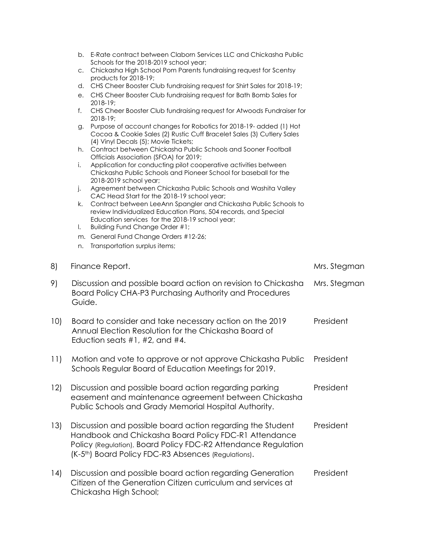- b. E-Rate contract between Claborn Services LLC and Chickasha Public Schools for the 2018-2019 school year;
- c. Chickasha High School Pom Parents fundraising request for Scentsy products for 2018-19;
- d. CHS Cheer Booster Club fundraising request for Shirt Sales for 2018-19;
- e. CHS Cheer Booster Club fundraising request for Bath Bomb Sales for 2018-19;
- f. CHS Cheer Booster Club fundraising request for Atwoods Fundraiser for 2018-19;
- g. Purpose of account changes for Robotics for 2018-19- added (1) Hot Cocoa & Cookie Sales (2) Rustic Cuff Bracelet Sales (3) Cutlery Sales (4) Vinyl Decals (5); Movie Tickets;
- h. Contract between Chickasha Public Schools and Sooner Football Officials Association (SFOA) for 2019;
- i. Application for conducting pilot cooperative activities between Chickasha Public Schools and Pioneer School for baseball for the 2018-2019 school year;
- j. Agreement between Chickasha Public Schools and Washita Valley CAC Head Start for the 2018-19 school year;
- k. Contract between LeeAnn Spangler and Chickasha Public Schools to review Individualized Education Plans, 504 records, and Special Education services for the 2018-19 school year;
- l. Building Fund Change Order #1;
- m. General Fund Change Orders #12-26;
- n. Transportation surplus items;

| 8)   | Finance Report.                                                                                                                                                                                                                                           | Mrs. Stegman |
|------|-----------------------------------------------------------------------------------------------------------------------------------------------------------------------------------------------------------------------------------------------------------|--------------|
| 9)   | Discussion and possible board action on revision to Chickasha<br>Board Policy CHA-P3 Purchasing Authority and Procedures<br>Guide.                                                                                                                        | Mrs. Stegman |
| 10)  | Board to consider and take necessary action on the 2019<br>Annual Election Resolution for the Chickasha Board of<br>Eduction seats $#1, #2,$ and $#4.$                                                                                                    | President    |
| 11)  | Motion and vote to approve or not approve Chickasha Public<br>Schools Regular Board of Education Meetings for 2019.                                                                                                                                       | President    |
| 12)  | Discussion and possible board action regarding parking<br>easement and maintenance agreement between Chickasha<br>Public Schools and Grady Memorial Hospital Authority.                                                                                   | President    |
| 13)  | Discussion and possible board action regarding the Student<br>Handbook and Chickasha Board Policy FDC-R1 Attendance<br>Policy (Regulation), Board Policy FDC-R2 Attendance Regulation<br>(K-5 <sup>th</sup> ) Board Policy FDC-R3 Absences (Regulations). | President    |
| (14) | Discussion and possible board action regarding Generation<br>Citizen of the Generation Citizen curriculum and services at<br>Chickasha High School;                                                                                                       | President    |